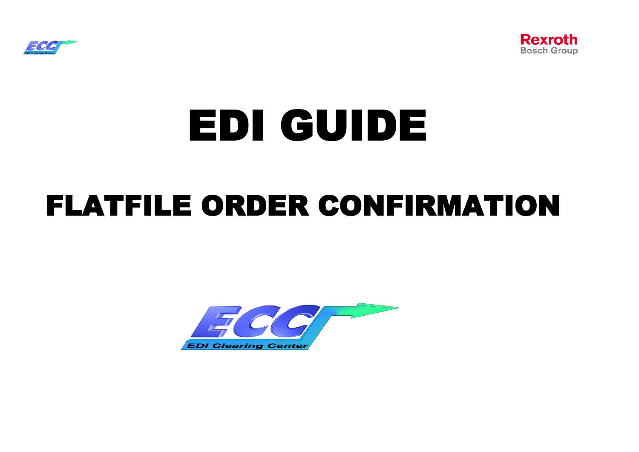



# EDI GUIDE

## FLATFILE ORDER CONFIRMATION

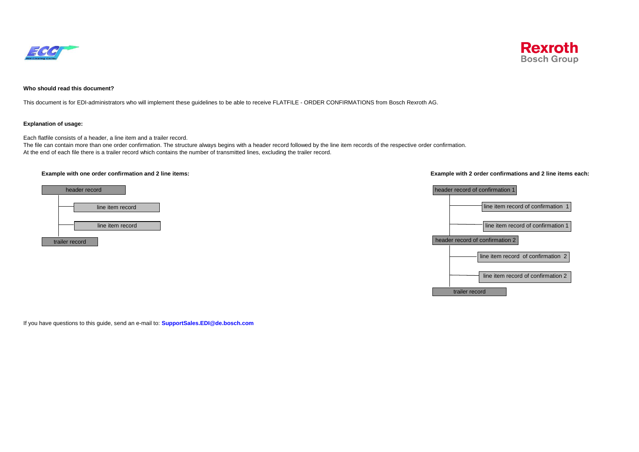



## **Who should read this document?**

This document is for EDI-administrators who will implement these guidelines to be able to receive FLATFILE - ORDER CONFIRMATIONS from Bosch Rexroth AG.

### **Explanation of usage:**

Each flatfile consists of a header, a line item and a trailer record.

The file can contain more than one order confirmation. The structure always begins with a header record followed by the line item records of the respective order confirmation. At the end of each file there is a trailer record which contains the number of transmitted lines, excluding the trailer record.



## **Example with one order confirmation and 2 line items: Example with 2 order confirmations and 2 line items each:**



If you have questions to this guide, send an e-mail to: **SupportSales.EDI@de.bosch.com**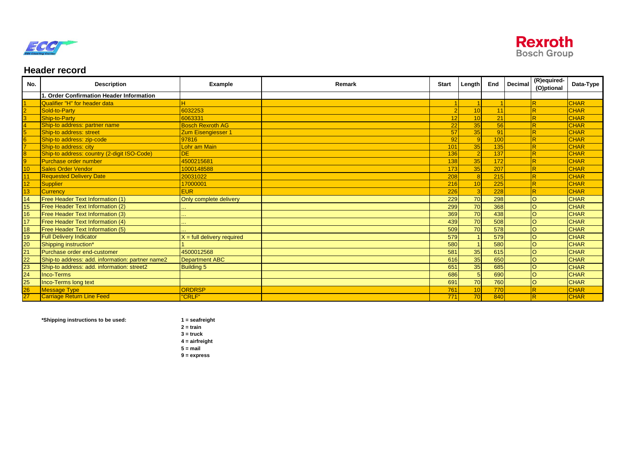



## **Header record**

| No.             | <b>Description</b>                               | Example                      | Remark | <b>Start</b> | Length         | End | Decimal | (R)equired-<br>(O)ptional | Data-Type   |
|-----------------|--------------------------------------------------|------------------------------|--------|--------------|----------------|-----|---------|---------------------------|-------------|
|                 | <b>Order Confirmation Header Information</b>     |                              |        |              |                |     |         |                           |             |
|                 | Qualifier "H" for header data                    |                              |        |              |                |     |         |                           | <b>CHAR</b> |
|                 | Sold-to-Party                                    | 6032253                      |        |              | 10             | 11  |         | R                         | <b>CHAR</b> |
|                 | Ship-to-Party                                    | 6063331                      |        | 12           | 10             | 21  |         | R                         | <b>CHAR</b> |
|                 | Ship-to address: partner name                    | <b>Bosch Rexroth AG</b>      |        | 22           | 35             | 56  |         |                           | <b>CHAR</b> |
|                 | Ship-to address: street                          | <b>Zum Eisengiesser 1</b>    |        | 57           | 35             | 91  |         | R                         | <b>CHAR</b> |
|                 | Ship-to address: zip-code                        | 97816                        |        | 92           | $\overline{9}$ | 100 |         | $\overline{R}$            | <b>CHAR</b> |
|                 | Ship-to address: city                            | Lohr am Main                 |        | 101          | 35             | 135 |         | R                         | <b>CHAR</b> |
|                 | Ship-to address: country (2-digit ISO-Code)      | <b>DE</b>                    |        | 136          | $\overline{2}$ | 137 |         | R                         | <b>CHAR</b> |
|                 | <b>Purchase order number</b>                     | 4500215681                   |        | 138          | 35             | 172 |         |                           | <b>CHAR</b> |
| 10              | <b>Sales Order Vendor</b>                        | 1000148588                   |        | 173          | 35             | 207 |         | R                         | <b>CHAR</b> |
|                 | <b>Requested Delivery Date</b>                   | 20031022                     |        | 208          | $\overline{8}$ | 215 |         | R                         | <b>CHAR</b> |
| 12              | <b>Supplier</b>                                  | 17000001                     |        | 216          | 10             | 225 |         |                           | <b>CHAR</b> |
| 13              | <b>Currency</b>                                  | <b>EUR</b>                   |        | 226          | 3              | 228 |         |                           | <b>CHAR</b> |
| 14              | <b>Free Header Text Information (1)</b>          | Only complete delivery       |        | 229          | 70             | 298 |         | lo                        | <b>CHAR</b> |
| 15              | <b>Free Header Text Information (2)</b>          |                              |        | 299          | 70             | 368 |         | lo                        | <b>CHAR</b> |
| 16              | <b>Free Header Text Information (3)</b>          |                              |        | 369          | 70             | 438 |         | lo                        | <b>CHAR</b> |
| 17              | Free Header Text Information (4)                 |                              |        | 439          | 70             | 508 |         | lo                        | <b>CHAR</b> |
| 18              | <b>Free Header Text Information (5)</b>          |                              |        | 509          | 70             | 578 |         | lo                        | <b>CHAR</b> |
| 19              | <b>Full Delivery Indicator</b>                   | $X =$ full delivery required |        | 579          |                | 579 |         | lo                        | <b>CHAR</b> |
| 20              | Shipping instruction*                            |                              |        | 580          |                | 580 |         | lo                        | <b>CHAR</b> |
| 21              | Purchase order end-customer                      | 4500012568                   |        | 581          | 35             | 615 |         | lo                        | <b>CHAR</b> |
| 22              | Ship-to address: add. information: partner name2 | <b>Department ABC</b>        |        | 616          | 35             | 650 |         | lo                        | <b>CHAR</b> |
| 23              | Ship-to address: add. information: street2       | <b>Building 5</b>            |        | 651          | 35             | 685 |         | lo                        | <b>CHAR</b> |
| 24              | <b>Inco-Terms</b>                                |                              |        | 686          | 5              | 690 |         | lo                        | <b>CHAR</b> |
| 25              | Inco-Terms long text                             |                              |        | 691          | 70             | 760 |         | lo                        | <b>CHAR</b> |
| 26              | <b>Message Type</b>                              | <b>ORDRSP</b>                |        | 761          | 10             | 770 |         |                           | <b>CHAR</b> |
| $\overline{27}$ | <b>Carriage Return Line Feed</b>                 | "CRLF"                       |        | 771          | 70             | 840 |         | $\overline{\mathsf{R}}$   | <b>CHAR</b> |

**\*Shipping instructions to be used: 1 = seafreight**

**2 = train 3 = truck 4 = airfreight**  $5 = \text{mail}$ **9 = express**